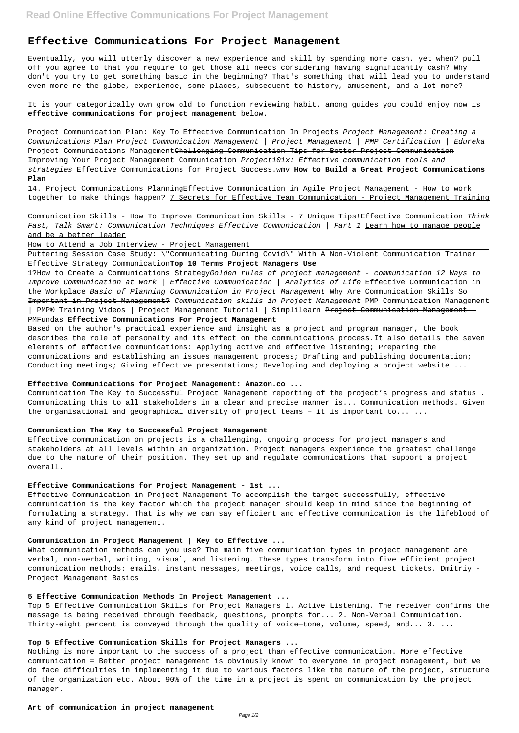# **Effective Communications For Project Management**

Eventually, you will utterly discover a new experience and skill by spending more cash. yet when? pull off you agree to that you require to get those all needs considering having significantly cash? Why don't you try to get something basic in the beginning? That's something that will lead you to understand even more re the globe, experience, some places, subsequent to history, amusement, and a lot more?

It is your categorically own grow old to function reviewing habit. among guides you could enjoy now is **effective communications for project management** below.

14. Project Communications PlanningEffective Communication in Agile Project Management - How to work together to make things happen? 7 Secrets for Effective Team Communication - Project Management Training

Communication Skills - How To Improve Communication Skills - 7 Unique Tips! Effective Communication Think Fast, Talk Smart: Communication Techniques Effective Communication | Part 1 Learn how to manage people and be a better leader

1?How to Create a Communications StrategyGolden rules of project management - communication 12 Ways to Improve Communication at Work | Effective Communication | Analytics of Life Effective Communication in the Workplace Basic of Planning Communication in Project Management Why Are Communication Skills So Important in Project Management? Communication skills in Project Management PMP Communication Management | PMP® Training Videos | Project Management Tutorial | Simplilearn <del>Project Communication Management</del>

Project Communication Plan: Key To Effective Communication In Projects Project Management: Creating a Communications Plan Project Communication Management | Project Management | PMP Certification | Edureka Project Communications ManagementChallenging Communication Tips for Better Project Communication Improving Your Project Management Communication Project101x: Effective communication tools and strategies Effective Communications for Project Success.wmv **How to Build a Great Project Communications Plan**

Based on the author's practical experience and insight as a project and program manager, the book describes the role of personalty and its effect on the communications process.It also details the seven elements of effective communications: Applying active and effective listening; Preparing the communications and establishing an issues management process; Drafting and publishing documentation; Conducting meetings; Giving effective presentations; Developing and deploying a project website ...

Communication The Key to Successful Project Management reporting of the project's progress and status . Communicating this to all stakeholders in a clear and precise manner is... Communication methods. Given the organisational and geographical diversity of project teams - it is important to... ...

How to Attend a Job Interview - Project Management

Puttering Session Case Study: \"Communicating During Covid\" With A Non-Violent Communication Trainer Effective Strategy Communication**Top 10 Terms Project Managers Use**

Top 5 Effective Communication Skills for Project Managers 1. Active Listening. The receiver confirms the message is being received through feedback, questions, prompts for... 2. Non-Verbal Communication. Thirty-eight percent is conveyed through the quality of voice-tone, volume, speed, and... 3. ...

#### PMFundas **Effective Communications For Project Management**

#### **Effective Communications for Project Management: Amazon.co ...**

#### **Communication The Key to Successful Project Management**

Effective communication on projects is a challenging, ongoing process for project managers and stakeholders at all levels within an organization. Project managers experience the greatest challenge due to the nature of their position. They set up and regulate communications that support a project overall.

# **Effective Communications for Project Management - 1st ...**

Effective Communication in Project Management To accomplish the target successfully, effective communication is the key factor which the project manager should keep in mind since the beginning of formulating a strategy. That is why we can say efficient and effective communication is the lifeblood of any kind of project management.

#### **Communication in Project Management | Key to Effective ...**

What communication methods can you use? The main five communication types in project management are

verbal, non-verbal, writing, visual, and listening. These types transform into five efficient project communication methods: emails, instant messages, meetings, voice calls, and request tickets. Dmitriy - Project Management Basics

### **5 Effective Communication Methods In Project Management ...**

#### **Top 5 Effective Communication Skills for Project Managers ...**

Nothing is more important to the success of a project than effective communication. More effective communication = Better project management is obviously known to everyone in project management, but we do face difficulties in implementing it due to various factors like the nature of the project, structure of the organization etc. About 90% of the time in a project is spent on communication by the project manager.

**Art of communication in project management**